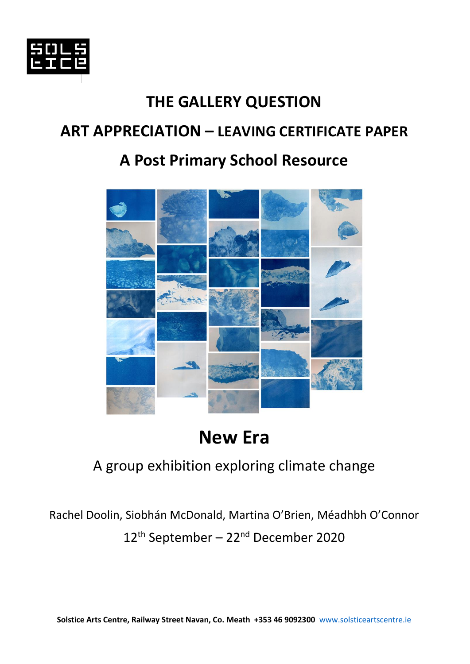

# **THE GALLERY QUESTION ART APPRECIATION – LEAVING CERTIFICATE PAPER**

# **A Post Primary School Resource**



# **New Era**

### A group exhibition exploring climate change

Rachel Doolin, Siobhán McDonald, Martina O'Brien, Méadhbh O'Connor 12th September – 22nd December 2020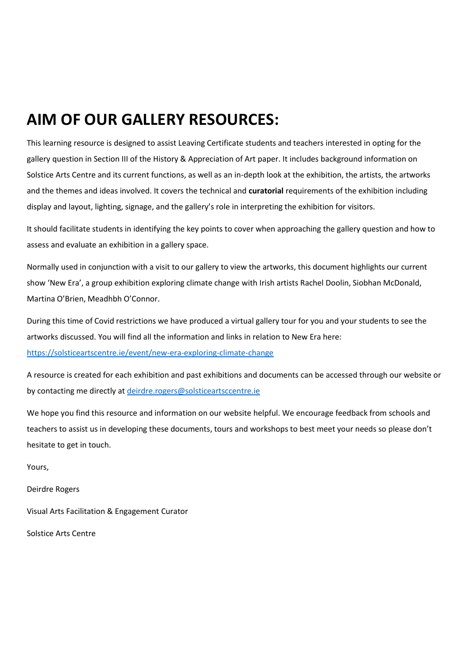### **AIM OF OUR GALLERY RESOURCES:**

This learning resource is designed to assist Leaving Certificate students and teachers interested in opting for the gallery question in Section III of the History & Appreciation of Art paper. It includes background information on Solstice Arts Centre and its current functions, as well as an in-depth look at the exhibition, the artists, the artworks and the themes and ideas involved. It covers the technical and **curatorial** requirements of the exhibition including display and layout, lighting, signage, and the gallery's role in interpreting the exhibition for visitors.

It should facilitate students in identifying the key points to cover when approaching the gallery question and how to assess and evaluate an exhibition in a gallery space.

Normally used in conjunction with a visit to our gallery to view the artworks, this document highlights our current show 'New Era', a group exhibition exploring climate change with Irish artists Rachel Doolin, Siobhan McDonald, Martina O'Brien, Meadhbh O'Connor.

During this time of Covid restrictions we have produced a virtual gallery tour for you and your students to see the artworks discussed. You will find all the information and links in relation to New Era here: <https://solsticeartscentre.ie/event/new-era-exploring-climate-change>

A resource is created for each exhibition and past exhibitions and documents can be accessed through our website or by contacting me directly at [deirdre.rogers@solsticeartsccentre.ie](mailto:deirdre.rogers@solsticeartsccentre.ie)

We hope you find this resource and information on our website helpful. We encourage feedback from schools and teachers to assist us in developing these documents, tours and workshops to best meet your needs so please don't hesitate to get in touch.

Yours,

Deirdre Rogers

Visual Arts Facilitation & Engagement Curator

Solstice Arts Centre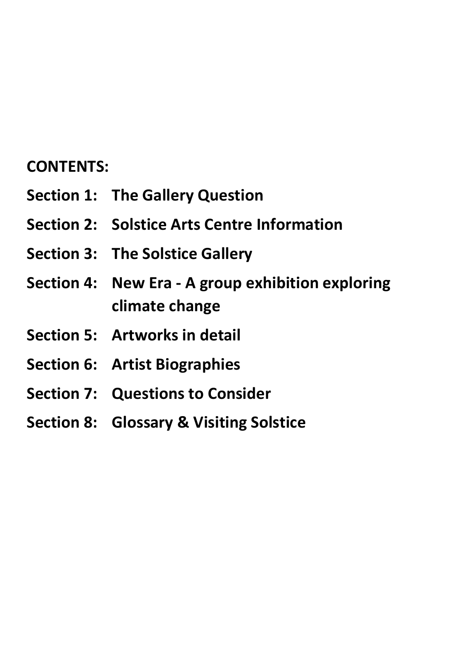### **CONTENTS:**

- **Section 1: The Gallery Question**
- **Section 2: Solstice Arts Centre Information**
- **Section 3: The Solstice Gallery**
- **Section 4: New Era - A group exhibition exploring climate change**
- **Section 5: Artworks in detail**
- **Section 6: Artist Biographies**
- **Section 7: Questions to Consider**
- **Section 8: Glossary & Visiting Solstice**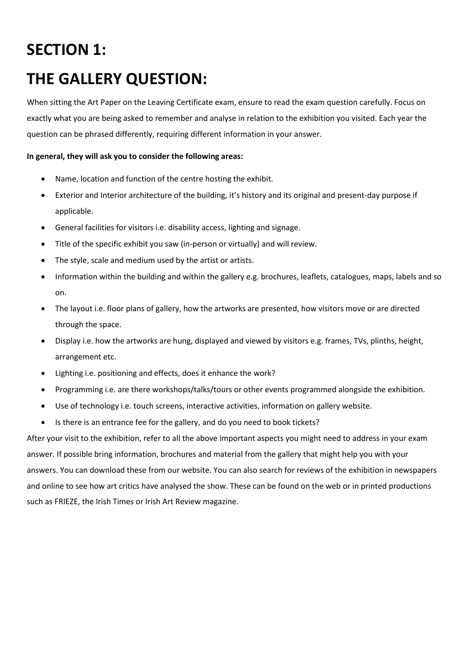# **SECTION 1: THE GALLERY QUESTION:**

When sitting the Art Paper on the Leaving Certificate exam, ensure to read the exam question carefully. Focus on exactly what you are being asked to remember and analyse in relation to the exhibition you visited. Each year the question can be phrased differently, requiring different information in your answer.

#### **In general, they will ask you to consider the following areas:**

- Name, location and function of the centre hosting the exhibit.
- Exterior and Interior architecture of the building, it's history and its original and present-day purpose if applicable.
- General facilities for visitors i.e. disability access, lighting and signage.
- Title of the specific exhibit you saw (in-person or virtually) and will review.
- The style, scale and medium used by the artist or artists.
- Information within the building and within the gallery e.g. brochures, leaflets, catalogues, maps, labels and so on.
- The layout i.e. floor plans of gallery, how the artworks are presented, how visitors move or are directed through the space.
- Display i.e. how the artworks are hung, displayed and viewed by visitors e.g. frames, TVs, plinths, height, arrangement etc.
- Lighting i.e. positioning and effects, does it enhance the work?
- Programming i.e. are there workshops/talks/tours or other events programmed alongside the exhibition.
- Use of technology i.e. touch screens, interactive activities, information on gallery website.
- Is there is an entrance fee for the gallery, and do you need to book tickets?

After your visit to the exhibition, refer to all the above important aspects you might need to address in your exam answer. If possible bring information, brochures and material from the gallery that might help you with your answers. You can download these from our website. You can also search for reviews of the exhibition in newspapers and online to see how art critics have analysed the show. These can be found on the web or in printed productions such as FRIEZE, the Irish Times or Irish Art Review magazine.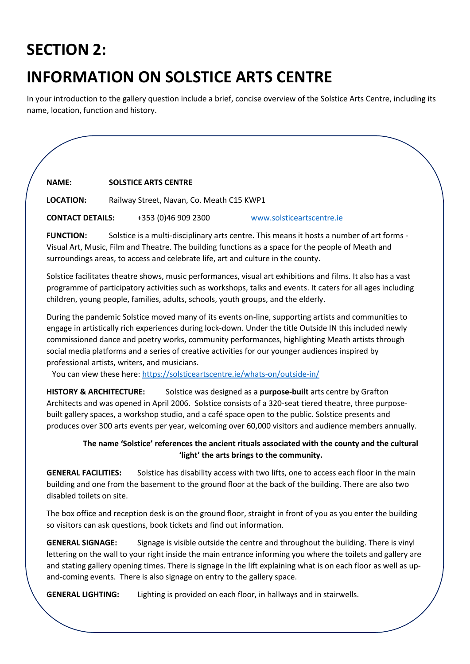# **SECTION 2:**

# **INFORMATION ON SOLSTICE ARTS CENTRE**

In your introduction to the gallery question include a brief, concise overview of the Solstice Arts Centre, including its name, location, function and history.

#### **NAME: SOLSTICE ARTS CENTRE**

**LOCATION:** Railway Street, Navan, Co. Meath C15 KWP1

**CONTACT DETAILS:** +353 (0)46 909 2300 [www.solsticeartscentre.ie](http://www.solsticeartscentre.ie/)

**FUNCTION:** Solstice is a multi-disciplinary arts centre. This means it hosts a number of art forms - Visual Art, Music, Film and Theatre. The building functions as a space for the people of Meath and surroundings areas, to access and celebrate life, art and culture in the county.

Solstice facilitates theatre shows, music performances, visual art exhibitions and films. It also has a vast programme of participatory activities such as workshops, talks and events. It caters for all ages including children, young people, families, adults, schools, youth groups, and the elderly.

During the pandemic Solstice moved many of its events on-line, supporting artists and communities to engage in artistically rich experiences during lock-down. Under the title Outside IN this included newly commissioned dance and poetry works, community performances, highlighting Meath artists through social media platforms and a series of creative activities for our younger audiences inspired by professional artists, writers, and musicians.

You can view these here:<https://solsticeartscentre.ie/whats-on/outside-in/>

**HISTORY & ARCHITECTURE:** Solstice was designed as a **purpose-built** arts centre by Grafton Architects and was opened in April 2006. Solstice consists of a 320-seat tiered theatre, three purposebuilt gallery spaces, a workshop studio, and a café space open to the public. Solstice presents and produces over 300 arts events per year, welcoming over 60,000 visitors and audience members annually.

#### **The name 'Solstice' references the ancient rituals associated with the county and the cultural 'light' the arts brings to the community.**

**GENERAL FACILITIES:** Solstice has disability access with two lifts, one to access each floor in the main building and one from the basement to the ground floor at the back of the building. There are also two disabled toilets on site.

The box office and reception desk is on the ground floor, straight in front of you as you enter the building so visitors can ask questions, book tickets and find out information.

**GENERAL SIGNAGE:** Signage is visible outside the centre and throughout the building. There is vinyl lettering on the wall to your right inside the main entrance informing you where the toilets and gallery are and stating gallery opening times. There is signage in the lift explaining what is on each floor as well as upand-coming events. There is also signage on entry to the gallery space.

**GENERAL LIGHTING:** Lighting is provided on each floor, in hallways and in stairwells.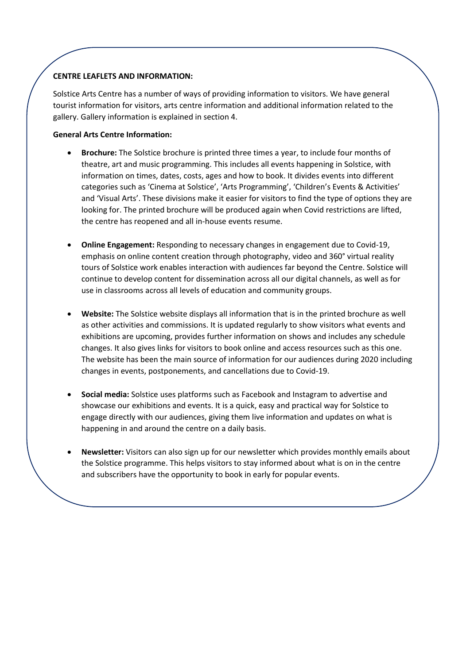#### **CENTRE LEAFLETS AND INFORMATION:**

Solstice Arts Centre has a number of ways of providing information to visitors. We have general tourist information for visitors, arts centre information and additional information related to the gallery. Gallery information is explained in section 4.

#### **General Arts Centre Information:**

- **Brochure:** The Solstice brochure is printed three times a year, to include four months of theatre, art and music programming. This includes all events happening in Solstice, with information on times, dates, costs, ages and how to book. It divides events into different categories such as 'Cinema at Solstice', 'Arts Programming', 'Children's Events & Activities' and 'Visual Arts'. These divisions make it easier for visitors to find the type of options they are looking for. The printed brochure will be produced again when Covid restrictions are lifted, the centre has reopened and all in-house events resume.
- **Online Engagement:** Responding to necessary changes in engagement due to Covid-19, emphasis on online content creation through photography, video and 360° virtual reality tours of Solstice work enables interaction with audiences far beyond the Centre. Solstice will continue to develop content for dissemination across all our digital channels, as well as for use in classrooms across all levels of education and community groups.
- **Website:** The Solstice website displays all information that is in the printed brochure as well as other activities and commissions. It is updated regularly to show visitors what events and exhibitions are upcoming, provides further information on shows and includes any schedule changes. It also gives links for visitors to book online and access resources such as this one. The website has been the main source of information for our audiences during 2020 including changes in events, postponements, and cancellations due to Covid-19.
- **Social media:** Solstice uses platforms such as Facebook and Instagram to advertise and showcase our exhibitions and events. It is a quick, easy and practical way for Solstice to engage directly with our audiences, giving them live information and updates on what is happening in and around the centre on a daily basis.
- **Newsletter:** Visitors can also sign up for our newsletter which provides monthly emails about the Solstice programme. This helps visitors to stay informed about what is on in the centre and subscribers have the opportunity to book in early for popular events.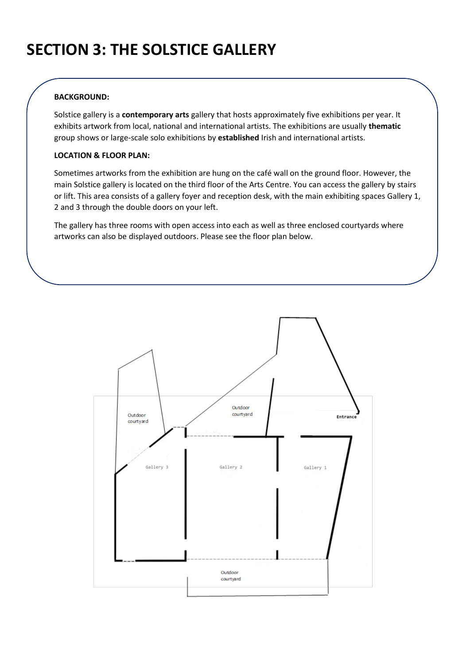# **SECTION 3: THE SOLSTICE GALLERY**

#### **BACKGROUND:**

Solstice gallery is a **contemporary arts** gallery that hosts approximately five exhibitions per year. It exhibits artwork from local, national and international artists. The exhibitions are usually **thematic** group shows or large-scale solo exhibitions by **established** Irish and international artists.

#### **LOCATION & FLOOR PLAN:**

Sometimes artworks from the exhibition are hung on the café wall on the ground floor. However, the main Solstice gallery is located on the third floor of the Arts Centre. You can access the gallery by stairs or lift. This area consists of a gallery foyer and reception desk, with the main exhibiting spaces Gallery 1, 2 and 3 through the double doors on your left.

The gallery has three rooms with open access into each as well as three enclosed courtyards where artworks can also be displayed outdoors. Please see the floor plan below.

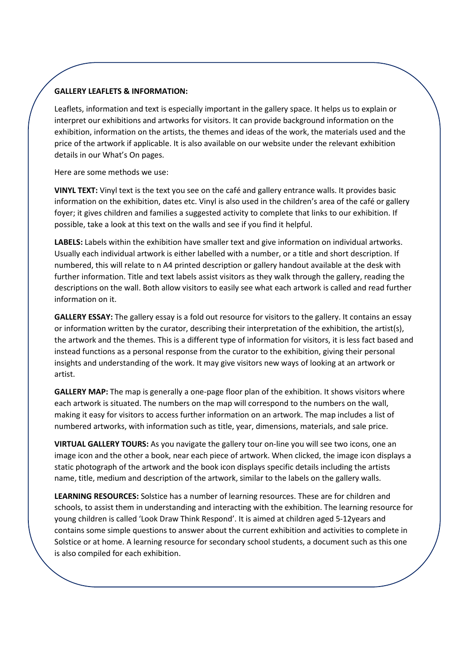#### **GALLERY LEAFLETS & INFORMATION:**

Leaflets, information and text is especially important in the gallery space. It helps us to explain or interpret our exhibitions and artworks for visitors. It can provide background information on the exhibition, information on the artists, the themes and ideas of the work, the materials used and the price of the artwork if applicable. It is also available on our website under the relevant exhibition details in our What's On pages.

Here are some methods we use:

**VINYL TEXT:** Vinyl text is the text you see on the café and gallery entrance walls. It provides basic information on the exhibition, dates etc. Vinyl is also used in the children's area of the café or gallery foyer; it gives children and families a suggested activity to complete that links to our exhibition. If possible, take a look at this text on the walls and see if you find it helpful.

**LABELS:** Labels within the exhibition have smaller text and give information on individual artworks. Usually each individual artwork is either labelled with a number, or a title and short description. If numbered, this will relate to n A4 printed description or gallery handout available at the desk with further information. Title and text labels assist visitors as they walk through the gallery, reading the descriptions on the wall. Both allow visitors to easily see what each artwork is called and read further information on it.

**GALLERY ESSAY:** The gallery essay is a fold out resource for visitors to the gallery. It contains an essay or information written by the curator, describing their interpretation of the exhibition, the artist(s), the artwork and the themes. This is a different type of information for visitors, it is less fact based and instead functions as a personal response from the curator to the exhibition, giving their personal insights and understanding of the work. It may give visitors new ways of looking at an artwork or artist.

**GALLERY MAP:** The map is generally a one-page floor plan of the exhibition. It shows visitors where each artwork is situated. The numbers on the map will correspond to the numbers on the wall, making it easy for visitors to access further information on an artwork. The map includes a list of numbered artworks, with information such as title, year, dimensions, materials, and sale price.

**VIRTUAL GALLERY TOURS:** As you navigate the gallery tour on-line you will see two icons, one an image icon and the other a book, near each piece of artwork. When clicked, the image icon displays a static photograph of the artwork and the book icon displays specific details including the artists name, title, medium and description of the artwork, similar to the labels on the gallery walls.

**LEARNING RESOURCES:** Solstice has a number of learning resources. These are for children and schools, to assist them in understanding and interacting with the exhibition. The learning resource for young children is called 'Look Draw Think Respond'. It is aimed at children aged 5-12years and contains some simple questions to answer about the current exhibition and activities to complete in Solstice or at home. A learning resource for secondary school students, a document such as this one is also compiled for each exhibition.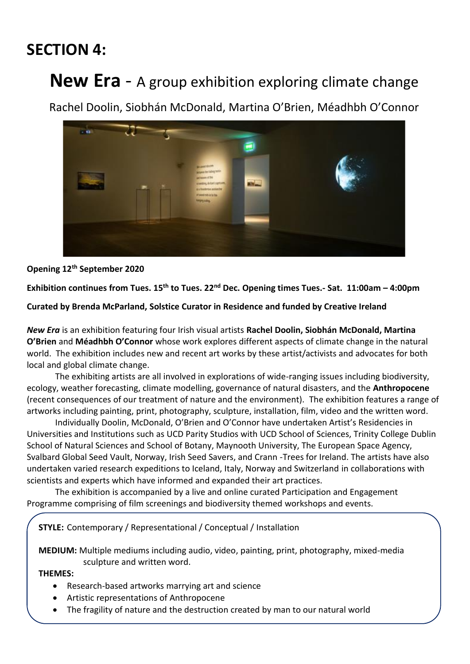### **SECTION 4:**

# **New Era** - A group exhibition exploring climate change

Rachel Doolin, Siobhán McDonald, Martina O'Brien, Méadhbh O'Connor



#### **Opening 12th September 2020**

Exhibition continues from Tues. 15<sup>th</sup> to Tues. 22<sup>nd</sup> Dec. Opening times Tues.- Sat. 11:00am – 4:00pm

**Curated by Brenda McParland, Solstice Curator in Residence and funded by Creative Ireland** 

*New Era* is an exhibition featuring four Irish visual artists **Rachel Doolin, Siobhán McDonald, Martina O'Brien** and **Méadhbh O'Connor** whose work explores different aspects of climate change in the natural world. The exhibition includes new and recent art works by these artist/activists and advocates for both local and global climate change.

The exhibiting artists are all involved in explorations of wide-ranging issues including biodiversity, ecology, weather forecasting, climate modelling, governance of natural disasters, and the **Anthropocene** (recent consequences of our treatment of nature and the environment). The exhibition features a range of artworks including painting, print, photography, sculpture, installation, film, video and the written word.

Individually Doolin, McDonald, O'Brien and O'Connor have undertaken Artist's Residencies in Universities and Institutions such as UCD Parity Studios with UCD School of Sciences, Trinity College Dublin School of Natural Sciences and School of Botany, Maynooth University, The European Space Agency, Svalbard Global Seed Vault, Norway, Irish Seed Savers, and Crann -Trees for Ireland. The artists have also undertaken varied research expeditions to Iceland, Italy, Norway and Switzerland in collaborations with scientists and experts which have informed and expanded their art practices.

The exhibition is accompanied by a live and online curated Participation and Engagement Programme comprising of film screenings and biodiversity themed workshops and events.

**STYLE:** Contemporary / Representational / Conceptual / Installation

**MEDIUM:** Multiple mediums including audio, video, painting, print, photography, mixed-media sculpture and written word.

- Research-based artworks marrying art and science
- Artistic representations of Anthropocene
- The fragility of nature and the destruction created by man to our natural world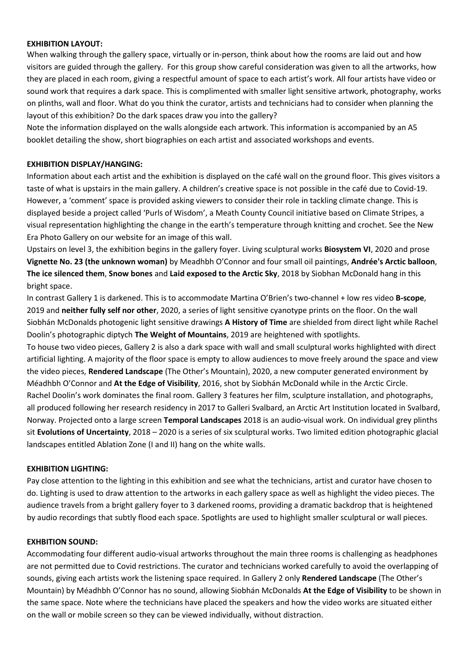#### **EXHIBITION LAYOUT:**

When walking through the gallery space, virtually or in-person, think about how the rooms are laid out and how visitors are guided through the gallery. For this group show careful consideration was given to all the artworks, how they are placed in each room, giving a respectful amount of space to each artist's work. All four artists have video or sound work that requires a dark space. This is complimented with smaller light sensitive artwork, photography, works on plinths, wall and floor. What do you think the curator, artists and technicians had to consider when planning the layout of this exhibition? Do the dark spaces draw you into the gallery?

Note the information displayed on the walls alongside each artwork. This information is accompanied by an A5 booklet detailing the show, short biographies on each artist and associated workshops and events.

#### **EXHIBITION DISPLAY/HANGING:**

Information about each artist and the exhibition is displayed on the café wall on the ground floor. This gives visitors a taste of what is upstairs in the main gallery. A children's creative space is not possible in the café due to Covid-19. However, a 'comment' space is provided asking viewers to consider their role in tackling climate change. This is displayed beside a project called 'Purls of Wisdom', a Meath County Council initiative based on Climate Stripes, a visual representation highlighting the change in the earth's temperature through knitting and crochet. See the New Era Photo Gallery on our website for an image of this wall.

Upstairs on level 3, the exhibition begins in the gallery foyer. Living sculptural works **Biosystem VI**, 2020 and prose **Vignette No. 23 (the unknown woman)** by Meadhbh O'Connor and four small oil paintings, **Andrée's Arctic balloon**, **The ice silenced them**, **Snow bones** and **Laid exposed to the Arctic Sky**, 2018 by Siobhan McDonald hang in this bright space.

In contrast Gallery 1 is darkened. This is to accommodate Martina O'Brien's two-channel + low res video **B-scope**, 2019 and **neither fully self nor other**, 2020, a series of light sensitive cyanotype prints on the floor. On the wall Siobhán McDonalds photogenic light sensitive drawings **A History of Time** are shielded from direct light while Rachel Doolin's photographic diptych **The Weight of Mountains**, 2019 are heightened with spotlights.

To house two video pieces, Gallery 2 is also a dark space with wall and small sculptural works highlighted with direct artificial lighting. A majority of the floor space is empty to allow audiences to move freely around the space and view the video pieces, **Rendered Landscape** (The Other's Mountain), 2020, a new computer generated environment by Méadhbh O'Connor and **At the Edge of Visibility**, 2016, shot by Siobhán McDonald while in the Arctic Circle. Rachel Doolin's work dominates the final room. Gallery 3 features her film, sculpture installation, and photographs, all produced following her research residency in 2017 to Galleri Svalbard, an Arctic Art Institution located in Svalbard, Norway. Projected onto a large screen **Temporal Landscapes** 2018 is an audio-visual work. On individual grey plinths sit **Evolutions of Uncertainty**, 2018 – 2020 is a series of six sculptural works. Two limited edition photographic glacial landscapes entitled Ablation Zone (I and II) hang on the white walls.

#### **EXHIBITION LIGHTING:**

Pay close attention to the lighting in this exhibition and see what the technicians, artist and curator have chosen to do. Lighting is used to draw attention to the artworks in each gallery space as well as highlight the video pieces. The audience travels from a bright gallery foyer to 3 darkened rooms, providing a dramatic backdrop that is heightened by audio recordings that subtly flood each space. Spotlights are used to highlight smaller sculptural or wall pieces.

#### **EXHBITION SOUND:**

Accommodating four different audio-visual artworks throughout the main three rooms is challenging as headphones are not permitted due to Covid restrictions. The curator and technicians worked carefully to avoid the overlapping of sounds, giving each artists work the listening space required. In Gallery 2 only **Rendered Landscape** (The Other's Mountain) by Méadhbh O'Connor has no sound, allowing Siobhán McDonalds **At the Edge of Visibility** to be shown in the same space. Note where the technicians have placed the speakers and how the video works are situated either on the wall or mobile screen so they can be viewed individually, without distraction.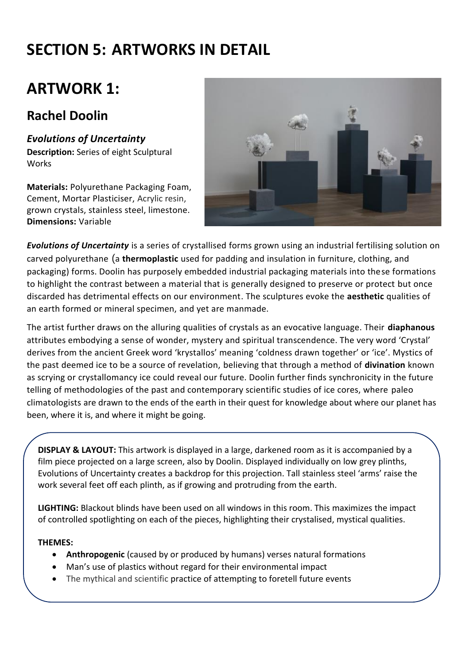# **SECTION 5: ARTWORKS IN DETAIL**

### **ARTWORK 1:**

### **Rachel Doolin**

### *Evolutions of Uncertainty*

**Description:** Series of eight Sculptural **Works** 

**Materials:** Polyurethane Packaging Foam, Cement, Mortar Plasticiser, Acrylic resin, grown crystals, stainless steel, limestone. **Dimensions:** Variable



*Evolutions of Uncertainty* is a series of crystallised forms grown using an industrial fertilising solution on carved polyurethane (a **thermoplastic** used for padding and insulation in furniture, clothing, and packaging) forms. Doolin has purposely embedded industrial packaging materials into these formations to highlight the contrast between a material that is generally designed to preserve or protect but once discarded has detrimental effects on our environment. The sculptures evoke the **aesthetic** qualities of an earth formed or mineral specimen, and yet are manmade.

The artist further draws on the alluring qualities of crystals as an evocative language. Their **diaphanous** attributes embodying a sense of wonder, mystery and spiritual transcendence. The very word 'Crystal' derives from the ancient Greek word 'krystallos' meaning 'coldness drawn together' or 'ice'. Mystics of the past deemed ice to be a source of revelation, believing that through a method of **divination** known as scrying or crystallomancy ice could reveal our future. Doolin further finds synchronicity in the future telling of methodologies of the past and contemporary scientific studies of ice cores, where paleo climatologists are drawn to the ends of the earth in their quest for knowledge about where our planet has been, where it is, and where it might be going.

**DISPLAY & LAYOUT:** This artwork is displayed in a large, darkened room as it is accompanied by a film piece projected on a large screen, also by Doolin. Displayed individually on low grey plinths, Evolutions of Uncertainty creates a backdrop for this projection. Tall stainless steel 'arms' raise the work several feet off each plinth, as if growing and protruding from the earth.

**LIGHTING:** Blackout blinds have been used on all windows in this room. This maximizes the impact of controlled spotlighting on each of the pieces, highlighting their crystalised, mystical qualities.

- **Anthropogenic** (caused by or produced by humans) verses natural formations
- Man's use of plastics without regard for their environmental impact
- The mythical and scientific practice of attempting to foretell future events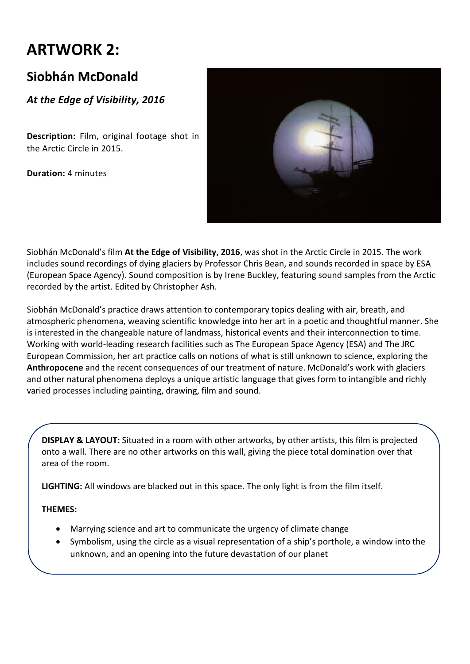### **ARTWORK 2:**

### **Siobhán McDonald**

*At the Edge of Visibility, 2016*

**Description:** Film, original footage shot in the Arctic Circle in 2015.

**Duration:** 4 minutes



Siobhán McDonald's film **At the Edge of Visibility, 2016**, was shot in the Arctic Circle in 2015. The work includes sound recordings of dying glaciers by Professor Chris Bean, and sounds recorded in space by ESA (European Space Agency). Sound composition is by Irene Buckley, featuring sound samples from the Arctic recorded by the artist. Edited by Christopher Ash.

Siobhán McDonald's practice draws attention to contemporary topics dealing with air, breath, and atmospheric phenomena, weaving scientific knowledge into her art in a poetic and thoughtful manner. She is interested in the changeable nature of landmass, historical events and their interconnection to time. Working with world-leading research facilities such as The European Space Agency (ESA) and The JRC European Commission, her art practice calls on notions of what is still unknown to science, exploring the **Anthropocene** and the recent consequences of our treatment of nature. McDonald's work with glaciers and other natural phenomena deploys a unique artistic language that gives form to intangible and richly varied processes including painting, drawing, film and sound.

**DISPLAY & LAYOUT:** Situated in a room with other artworks, by other artists, this film is projected onto a wall. There are no other artworks on this wall, giving the piece total domination over that area of the room.

**LIGHTING:** All windows are blacked out in this space. The only light is from the film itself.

- Marrying science and art to communicate the urgency of climate change
- Symbolism, using the circle as a visual representation of a ship's porthole, a window into the unknown, and an opening into the future devastation of our planet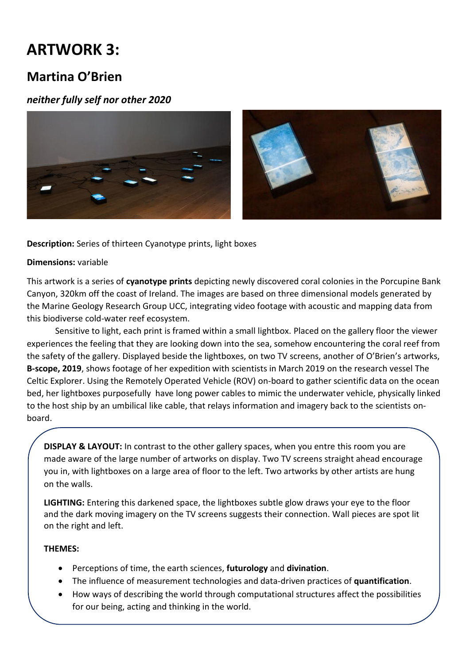### **ARTWORK 3:**

#### **Martina O'Brien**

#### *neither fully self nor other 2020*



**Description:** Series of thirteen Cyanotype prints, light boxes

#### **Dimensions:** variable

This artwork is a series of **cyanotype prints** depicting newly discovered coral colonies in the Porcupine Bank Canyon, 320km off the coast of Ireland. The images are based on three dimensional models generated by the Marine Geology Research Group UCC, integrating video footage with acoustic and mapping data from this biodiverse cold-water reef ecosystem.

Sensitive to light, each print is framed within a small lightbox. Placed on the gallery floor the viewer experiences the feeling that they are looking down into the sea, somehow encountering the coral reef from the safety of the gallery. Displayed beside the lightboxes, on two TV screens, another of O'Brien's artworks, **B-scope, 2019**, shows footage of her expedition with scientists in March 2019 on the research vessel The Celtic Explorer. Using the Remotely Operated Vehicle (ROV) on-board to gather scientific data on the ocean bed, her lightboxes purposefully have long power cables to mimic the underwater vehicle, physically linked to the host ship by an umbilical like cable, that relays information and imagery back to the scientists onboard.

**DISPLAY & LAYOUT:** In contrast to the other gallery spaces, when you entre this room you are made aware of the large number of artworks on display. Two TV screens straight ahead encourage you in, with lightboxes on a large area of floor to the left. Two artworks by other artists are hung on the walls.

**LIGHTING:** Entering this darkened space, the lightboxes subtle glow draws your eye to the floor and the dark moving imagery on the TV screens suggests their connection. Wall pieces are spot lit on the right and left.

- Perceptions of time, the earth sciences, **futurology** and **divination**.
- The influence of measurement technologies and data-driven practices of **quantification**.
- How ways of describing the world through computational structures affect the possibilities for our being, acting and thinking in the world.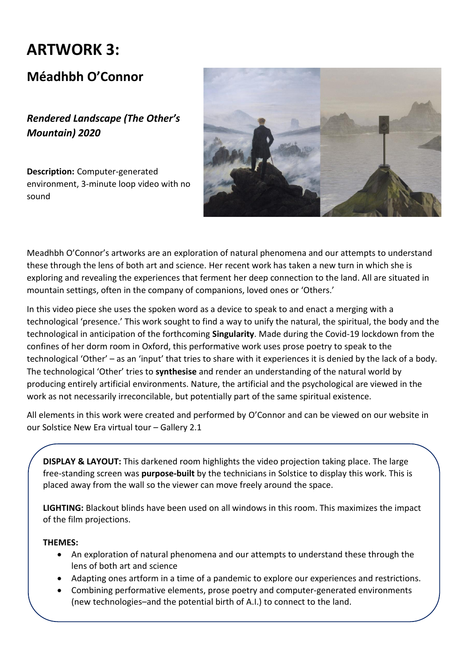# **ARTWORK 3:**

#### **Méadhbh O'Connor**

*Rendered Landscape (The Other's Mountain) 2020*

**Description:** Computer-generated environment, 3-minute loop video with no sound



Meadhbh O'Connor's artworks are an exploration of natural phenomena and our attempts to understand these through the lens of both art and science. Her recent work has taken a new turn in which she is exploring and revealing the experiences that ferment her deep connection to the land. All are situated in mountain settings, often in the company of companions, loved ones or 'Others.'

In this video piece she uses the spoken word as a device to speak to and enact a merging with a technological 'presence.' This work sought to find a way to unify the natural, the spiritual, the body and the technological in anticipation of the forthcoming **Singularity**. Made during the Covid-19 lockdown from the confines of her dorm room in Oxford, this performative work uses prose poetry to speak to the technological 'Other' – as an 'input' that tries to share with it experiences it is denied by the lack of a body. The technological 'Other' tries to **synthesise** and render an understanding of the natural world by producing entirely artificial environments. Nature, the artificial and the psychological are viewed in the work as not necessarily irreconcilable, but potentially part of the same spiritual existence.

All elements in this work were created and performed by O'Connor and can be viewed on our website in our Solstice New Era virtual tour – Gallery 2.1

**DISPLAY & LAYOUT:** This darkened room highlights the video projection taking place. The large free-standing screen was **purpose-built** by the technicians in Solstice to display this work. This is placed away from the wall so the viewer can move freely around the space.

**LIGHTING:** Blackout blinds have been used on all windows in this room. This maximizes the impact of the film projections.

- An exploration of natural phenomena and our attempts to understand these through the lens of both art and science
- Adapting ones artform in a time of a pandemic to explore our experiences and restrictions.
- Combining performative elements, prose poetry and computer-generated environments (new technologies–and the potential birth of A.I.) to connect to the land.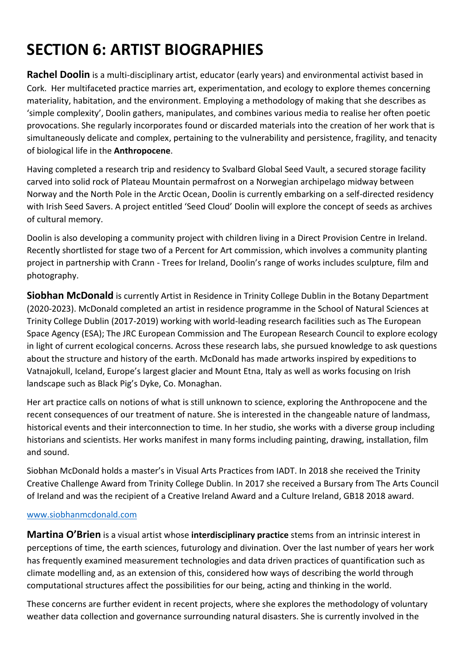# **SECTION 6: ARTIST BIOGRAPHIES**

**Rachel Doolin** is a multi-disciplinary artist, educator (early years) and environmental activist based in Cork. Her multifaceted practice marries art, experimentation, and ecology to explore themes concerning materiality, habitation, and the environment. Employing a methodology of making that she describes as 'simple complexity', Doolin gathers, manipulates, and combines various media to realise her often poetic provocations. She regularly incorporates found or discarded materials into the creation of her work that is simultaneously delicate and complex, pertaining to the vulnerability and persistence, fragility, and tenacity of biological life in the **Anthropocene**.

Having completed a research trip and residency to Svalbard Global Seed Vault, a secured storage facility carved into solid rock of Plateau Mountain permafrost on a Norwegian archipelago midway between Norway and the North Pole in the Arctic Ocean, Doolin is currently embarking on a self-directed residency with Irish Seed Savers. A project entitled 'Seed Cloud' Doolin will explore the concept of seeds as archives of cultural memory.

Doolin is also developing a community project with children living in a Direct Provision Centre in Ireland. Recently shortlisted for stage two of a Percent for Art commission, which involves a community planting project in partnership with Crann - Trees for Ireland, Doolin's range of works includes sculpture, film and photography.

**Siobhan McDonald** is currently Artist in Residence in Trinity College Dublin in the Botany Department (2020-2023). McDonald completed an artist in residence programme in the School of Natural Sciences at Trinity College Dublin (2017-2019) working with world-leading research facilities such as The European Space Agency (ESA); The JRC European Commission and The European Research Council to explore ecology in light of current ecological concerns. Across these research labs, she pursued knowledge to ask questions about the structure and history of the earth. McDonald has made artworks inspired by expeditions to Vatnajokull, Iceland, Europe's largest glacier and Mount Etna, Italy as well as works focusing on Irish landscape such as Black Pig's Dyke, Co. Monaghan.

Her art practice calls on notions of what is still unknown to science, exploring the Anthropocene and the recent consequences of our treatment of nature. She is interested in the changeable nature of landmass, historical events and their interconnection to time. In her studio, she works with a diverse group including historians and scientists. Her works manifest in many forms including painting, drawing, installation, film and sound.

Siobhan McDonald holds a master's in Visual Arts Practices from IADT. In 2018 she received the Trinity Creative Challenge Award from Trinity College Dublin. In 2017 she received a Bursary from The Arts Council of Ireland and was the recipient of a Creative Ireland Award and a Culture Ireland, GB18 2018 award.

#### [www.siobhanmcdonald.com](http://www.siobhanmcdonald.com/)

**Martina O'Brien** is a visual artist whose **interdisciplinary practice** stems from an intrinsic interest in perceptions of time, the earth sciences, futurology and divination. Over the last number of years her work has frequently examined measurement technologies and data driven practices of quantification such as climate modelling and, as an extension of this, considered how ways of describing the world through computational structures affect the possibilities for our being, acting and thinking in the world.

These concerns are further evident in recent projects, where she explores the methodology of voluntary weather data collection and governance surrounding natural disasters. She is currently involved in the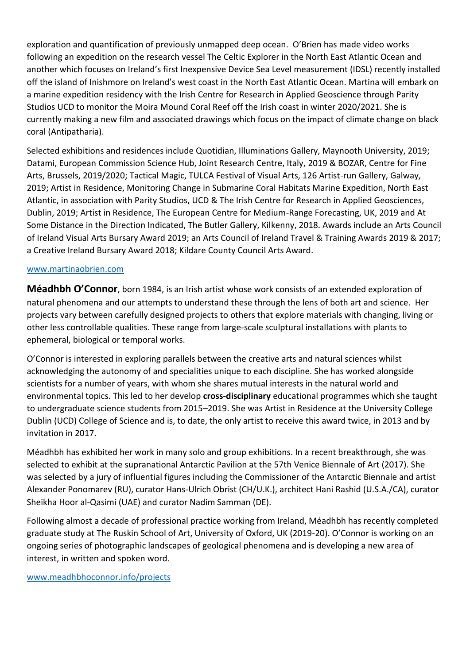exploration and quantification of previously unmapped deep ocean. O'Brien has made video works following an expedition on the research vessel The Celtic Explorer in the North East Atlantic Ocean and another which focuses on Ireland's first Inexpensive Device Sea Level measurement (IDSL) recently installed off the island of Inishmore on Ireland's west coast in the North East Atlantic Ocean. Martina will embark on a marine expedition residency with the Irish Centre for Research in Applied Geoscience through Parity Studios UCD to monitor the Moira Mound Coral Reef off the Irish coast in winter 2020/2021. She is currently making a new film and associated drawings which focus on the impact of climate change on black coral (Antipatharia).

Selected exhibitions and residences include Quotidian, Illuminations Gallery, Maynooth University, 2019; Datami, European Commission Science Hub, Joint Research Centre, Italy, 2019 & BOZAR, Centre for Fine Arts, Brussels, 2019/2020; Tactical Magic, TULCA Festival of Visual Arts, 126 Artist-run Gallery, Galway, 2019; Artist in Residence, Monitoring Change in Submarine Coral Habitats Marine Expedition, North East Atlantic, in association with Parity Studios, UCD & The Irish Centre for Research in Applied Geosciences, Dublin, 2019; Artist in Residence, The European Centre for Medium-Range Forecasting, UK, 2019 and At Some Distance in the Direction Indicated, The Butler Gallery, Kilkenny, 2018. Awards include an Arts Council of Ireland Visual Arts Bursary Award 2019; an Arts Council of Ireland Travel & Training Awards 2019 & 2017; a Creative Ireland Bursary Award 2018; Kildare County Council Arts Award.

#### [www.martinaobrien.com](http://www.martinaobrien.com/)

**Méadhbh O'Connor**, born 1984, is an Irish artist whose work consists of an extended exploration of natural phenomena and our attempts to understand these through the lens of both art and science. Her projects vary between carefully designed projects to others that explore materials with changing, living or other less controllable qualities. These range from large-scale sculptural installations with plants to ephemeral, biological or temporal works.

O'Connor is interested in exploring parallels between the creative arts and natural sciences whilst acknowledging the autonomy of and specialities unique to each discipline. She has worked alongside scientists for a number of years, with whom she shares mutual interests in the natural world and environmental topics. This led to her develop **cross-disciplinary** educational programmes which she taught to undergraduate science students from 2015–2019. She was Artist in Residence at the University College Dublin (UCD) College of Science and is, to date, the only artist to receive this award twice, in 2013 and by invitation in 2017.

Méadhbh has exhibited her work in many solo and group exhibitions. In a recent breakthrough, she was selected to exhibit at the supranational Antarctic Pavilion at the 57th Venice Biennale of Art (2017). She was selected by a jury of influential figures including the Commissioner of the Antarctic Biennale and artist Alexander Ponomarev (RU), curator Hans-Ulrich Obrist (CH/U.K.), architect Hani Rashid (U.S.A./CA), curator Sheikha Hoor al-Qasimi (UAE) and curator Nadim Samman (DE).

Following almost a decade of professional practice working from Ireland, Méadhbh has recently completed graduate study at The Ruskin School of Art, University of Oxford, UK (2019-20). O'Connor is working on an ongoing series of photographic landscapes of geological phenomena and is developing a new area of interest, in written and spoken word.

#### [www.meadhbhoconnor.info/projects](http://www.meadhbhoconnor.info/projects)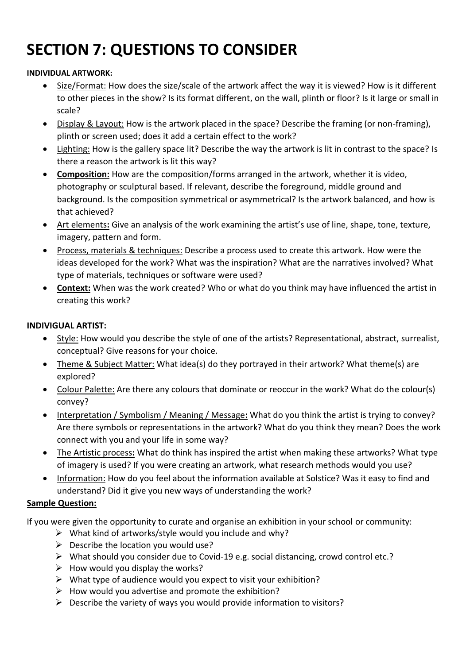# **SECTION 7: QUESTIONS TO CONSIDER**

#### **INDIVIDUAL ARTWORK:**

- Size/Format: How does the size/scale of the artwork affect the way it is viewed? How is it different to other pieces in the show? Is its format different, on the wall, plinth or floor? Is it large or small in scale?
- Display & Layout: How is the artwork placed in the space? Describe the framing (or non-framing), plinth or screen used; does it add a certain effect to the work?
- Lighting: How is the gallery space lit? Describe the way the artwork is lit in contrast to the space? Is there a reason the artwork is lit this way?
- **Composition:** How are the composition/forms arranged in the artwork, whether it is video, photography or sculptural based. If relevant, describe the foreground, middle ground and background. Is the composition symmetrical or asymmetrical? Is the artwork balanced, and how is that achieved?
- Art elements**:** Give an analysis of the work examining the artist's use of line, shape, tone, texture, imagery, pattern and form.
- Process, materials & techniques: Describe a process used to create this artwork. How were the ideas developed for the work? What was the inspiration? What are the narratives involved? What type of materials, techniques or software were used?
- **Context:** When was the work created? Who or what do you think may have influenced the artist in creating this work?

#### **INDIVIGUAL ARTIST:**

- Style: How would you describe the style of one of the artists? Representational, abstract, surrealist, conceptual? Give reasons for your choice.
- Theme & Subject Matter: What idea(s) do they portrayed in their artwork? What theme(s) are explored?
- Colour Palette: Are there any colours that dominate or reoccur in the work? What do the colour(s) convey?
- Interpretation / Symbolism / Meaning / Message**:** What do you think the artist is trying to convey? Are there symbols or representations in the artwork? What do you think they mean? Does the work connect with you and your life in some way?
- The Artistic process**:** What do think has inspired the artist when making these artworks? What type of imagery is used? If you were creating an artwork, what research methods would you use?
- Information: How do you feel about the information available at Solstice? Was it easy to find and understand? Did it give you new ways of understanding the work?

#### **Sample Question:**

If you were given the opportunity to curate and organise an exhibition in your school or community:

- $\triangleright$  What kind of artworks/style would you include and why?
- $\triangleright$  Describe the location you would use?
- ➢ What should you consider due to Covid-19 e.g. social distancing, crowd control etc.?
- $\triangleright$  How would you display the works?
- $\triangleright$  What type of audience would you expect to visit your exhibition?
- $\triangleright$  How would you advertise and promote the exhibition?
- ➢ Describe the variety of ways you would provide information to visitors?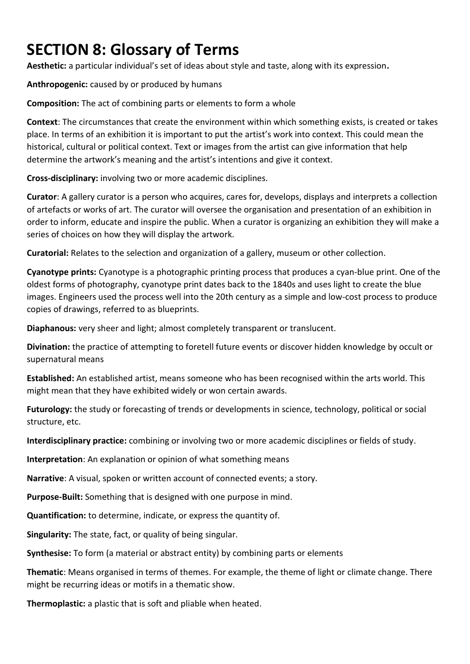## **SECTION 8: Glossary of Terms**

**Aesthetic:** a particular individual's set of ideas about style and taste, along with its expression**.**

**Anthropogenic:** caused by or produced by humans

**Composition:** The act of combining parts or elements to form a whole

**Context**: The circumstances that create the environment within which something exists, is created or takes place. In terms of an exhibition it is important to put the artist's work into context. This could mean the historical, cultural or political context. Text or images from the artist can give information that help determine the artwork's meaning and the artist's intentions and give it context.

**Cross-disciplinary:** involving two or more academic disciplines.

**Curator**: A gallery curator is a person who acquires, cares for, develops, displays and interprets a collection of artefacts or works of art. The curator will oversee the organisation and presentation of an exhibition in order to inform, educate and inspire the public. When a curator is organizing an exhibition they will make a series of choices on how they will display the artwork.

**Curatorial:** Relates to the selection and organization of a gallery, museum or other collection.

**Cyanotype prints:** Cyanotype is a photographic printing process that produces a cyan-blue print. One of the oldest forms of photography, cyanotype print dates back to the 1840s and uses light to create the blue images. Engineers used the process well into the 20th century as a simple and low-cost process to produce copies of drawings, referred to as blueprints.

**Diaphanous:** very sheer and light; almost completely transparent or translucent.

**Divination:** the practice of attempting to foretell future events or discover hidden knowledge by occult or supernatural means

**Established:** An established artist, means someone who has been recognised within the arts world. This might mean that they have exhibited widely or won certain awards.

**Futurology:** the study or forecasting of trends or developments in science, technology, political or social structure, etc.

**Interdisciplinary practice:** combining or involving two or more academic disciplines or fields of study.

**Interpretation**: An explanation or opinion of what something means

**Narrative**: A visual, spoken or written account of connected events; a story.

**Purpose-Built:** Something that is designed with one purpose in mind.

**Quantification:** to determine, indicate, or express the quantity of.

**Singularity:** The state, fact, or quality of being singular.

**Synthesise:** To form (a material or abstract entity) by combining parts or elements

**Thematic**: Means organised in terms of themes. For example, the theme of light or climate change. There might be recurring ideas or motifs in a thematic show.

**Thermoplastic:** a plastic that is soft and pliable when heated.